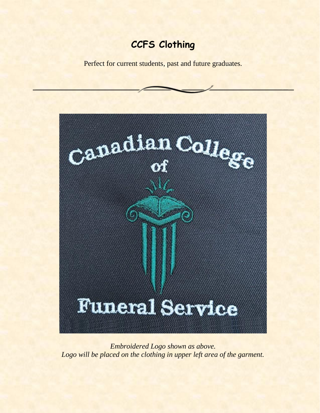# **CCFS Clothing**

Perfect for current students, past and future graduates.



*Embroidered Logo shown as above.* Logo will be placed on the clothing in upper left area of the garment.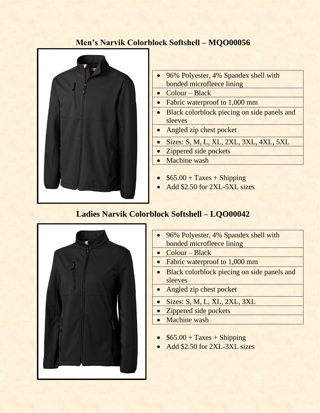### **Men's Narvik Colorblock Softshell – MQO00056**



- 96% Polyester, 4% Spandex shell with bonded microfleece lining
- Colour Black
- Fabric waterproof to 1,000 mm
- Black colorblock piecing on side panels and sleeves
- Angled zip chest pocket
- Sizes: S, M, L, XL, 2XL, 3XL, 4XL, 5XL
- Zippered side pockets
- Machine wash
- $$65.00 + Taxes + Shipping$
- Add \$2.50 for 2XL-5XL sizes

#### **Ladies Narvik Colorblock Softshell – LQO00042**



- 96% Polyester, 4% Spandex shell with bonded microfleece lining
- Colour Black
- Fabric waterproof to 1,000 mm
- Black colorblock piecing on side panels and sleeves
- Angled zip chest pocket
- Sizes: S, M, L, XL, 2XL, 3XL
- Zippered side pockets
- Machine wash
- $$65.00 + Taxes + Shipping$
- Add \$2.50 for 2XL-3XL sizes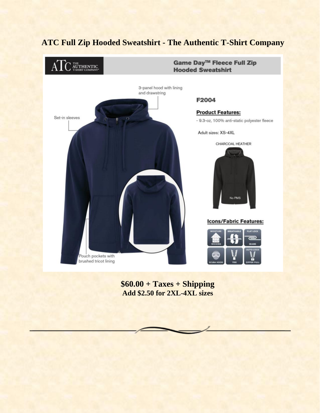

**\$60.00 + Taxes + Shipping Add \$2.50 for 2XL-4XL sizes**

### **ATC Full Zip Hooded Sweatshirt - The Authentic T-Shirt Company**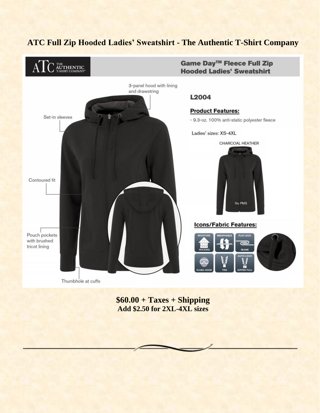## **ATC Full Zip Hooded Ladies' Sweatshirt - The Authentic T-Shirt Company**



**\$60.00 + Taxes + Shipping Add \$2.50 for 2XL-4XL sizes**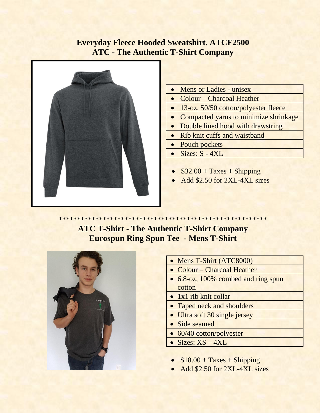### **Everyday Fleece Hooded Sweatshirt. ATCF2500 ATC - The Authentic T-Shirt Company**



- Mens or Ladies unisex
- Colour Charcoal Heather
- 13-oz, 50/50 cotton/polyester fleece
- Compacted yarns to minimize shrinkage
- Double lined hood with drawstring
- Rib knit cuffs and waistband
- Pouch pockets
- Sizes:  $S 4XL$
- $$32.00 + Taxes + Shipping$
- Add \$2.50 for 2XL-4XL sizes

\*\*\*\*\*\*\*\*\*\*\*\*\*\*\*\*\*\*\*\*\*\*\*\*\*\*\*\*\*\*\*\*\*\*\*\*\*\*\*\*\*\*\*\*\*\*\*\*\*\*\*\*\*\*\*\*\*

**ATC T-Shirt - The Authentic T-Shirt Company Eurospun Ring Spun Tee - Mens T-Shirt**



- Mens T-Shirt (ATC8000)
- Colour Charcoal Heather
- 6.8-oz, 100% combed and ring spun cotton
- 1x1 rib knit collar
- Taped neck and shoulders
- Ultra soft 30 single jersey
- Side seamed
- 60/40 cotton/polyester
- Sizes: XS 4XL
- $$18.00 + Taxes + Shipping$
- Add \$2.50 for 2XL-4XL sizes